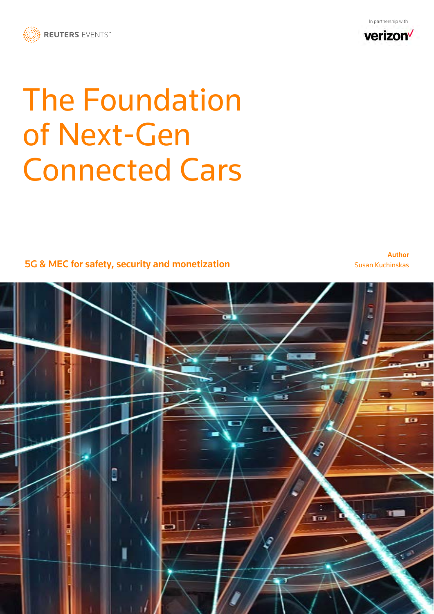



# The Foundation of Next-Gen Connected Cars

5G & MEC for safety, security and monetization

Author Susan Kuchinskas

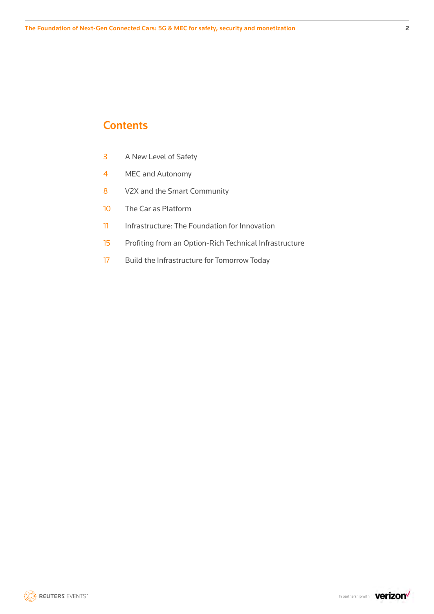# **Contents**

- 3 A New Level of Safety
- 4 MEC and Autonomy
- 8 V2X and the Smart Community
- 10 The Car as Platform
- 11 Infrastructure: The Foundation for Innovation
- 15 Profiting from an Option-Rich Technical Infrastructure
- 17 Build the Infrastructure for Tomorrow Today

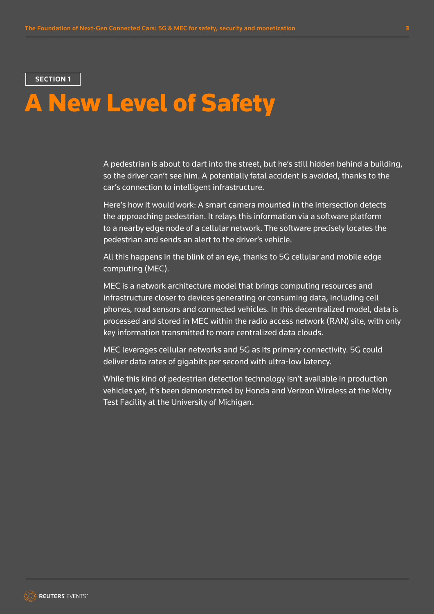# A New Level of Safety

A pedestrian is about to dart into the street, but he's still hidden behind a building, so the driver can't see him. A potentially fatal accident is avoided, thanks to the car's connection to intelligent infrastructure.

Here's how it would work: A smart camera mounted in the intersection detects the approaching pedestrian. It relays this information via a software platform to a nearby edge node of a cellular network. The software precisely locates the pedestrian and sends an alert to the driver's vehicle.

All this happens in the blink of an eye, thanks to 5G cellular and mobile edge computing (MEC).

MEC is a network architecture model that brings computing resources and infrastructure closer to devices generating or consuming data, including cell phones, road sensors and connected vehicles. In this decentralized model, data is processed and stored in MEC within the radio access network (RAN) site, with only key information transmitted to more centralized data clouds.

MEC leverages cellular networks and 5G as its primary connectivity. 5G could deliver data rates of gigabits per second with ultra-low latency.

While this kind of pedestrian detection technology isn't available in production vehicles yet, it's been demonstrated by Honda and Verizon Wireless at the Mcity Test Facility at the University of Michigan.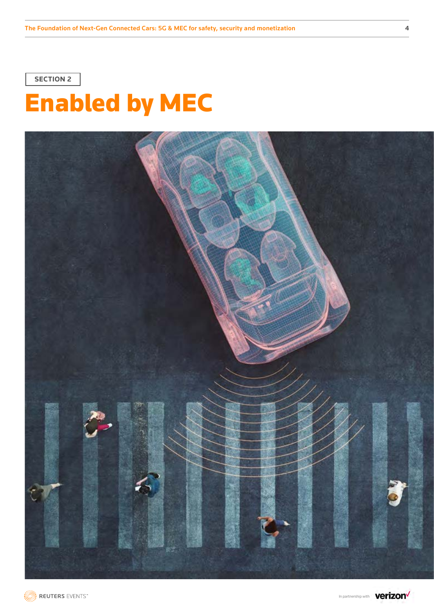

# Enabled by MEC



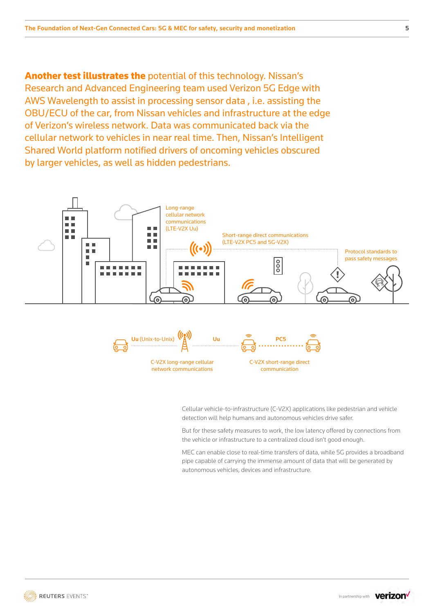Another test illustrates the potential of this technology. Nissan's Research and Advanced Engineering team used Verizon 5G Edge with AWS Wavelength to assist in processing sensor data , i.e. assisting the OBU/ECU of the car, from Nissan vehicles and infrastructure at the edge of Verizon's wireless network. Data was communicated back via the cellular network to vehicles in near real time. Then, Nissan's Intelligent Shared World platform notified drivers of oncoming vehicles obscured by larger vehicles, as well as hidden pedestrians.





Cellular vehicle-to-infrastructure (C-V2X) applications like pedestrian and vehicle detection will help humans and autonomous vehicles drive safer.

But for these safety measures to work, the low latency offered by connections from the vehicle or infrastructure to a centralized cloud isn't good enough.

MEC can enable close to real-time transfers of data, while 5G provides a broadband pipe capable of carrying the immense amount of data that will be generated by autonomous vehicles, devices and infrastructure.

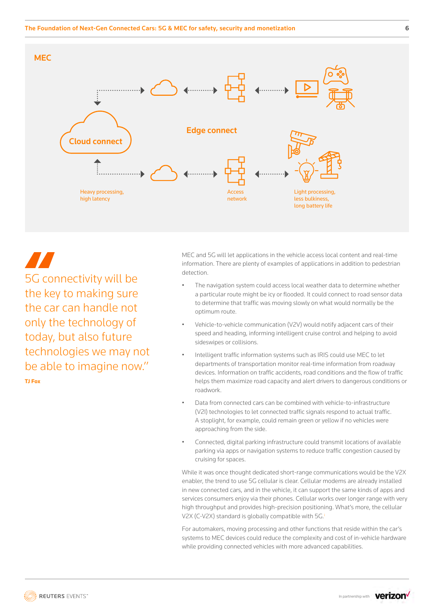

5G connectivity will be the key to making sure the car can handle not only the technology of today, but also future technologies we may not be able to imagine now." **TJ Fox**

MEC and 5G will let applications in the vehicle access local content and real-time information. There are plenty of examples of applications in addition to pedestrian detection.

- The navigation system could access local weather data to determine whether a particular route might be icy or flooded. It could connect to road sensor data to determine that traffic was moving slowly on what would normally be the optimum route.
- Vehicle-to-vehicle communication (V2V) would notify adjacent cars of their speed and heading, informing intelligent cruise control and helping to avoid sideswipes or collisions.
- Intelligent traffic information systems such as IRIS could use MEC to let departments of transportation monitor real-time information from roadway devices. Information on traffic accidents, road conditions and the flow of traffic helps them maximize road capacity and alert drivers to dangerous conditions or roadwork.
- Data from connected cars can be combined with vehicle-to-infrastructure (V2I) technologies to let connected traffic signals respond to actual traffic. A stoplight, for example, could remain green or yellow if no vehicles were approaching from the side.
- Connected, digital parking infrastructure could transmit locations of available parking via apps or navigation systems to reduce traffic congestion caused by cruising for spaces.

While it was once thought dedicated short-range communications would be the V2X enabler, the trend to use 5G cellular is clear. Cellular modems are already installed in new connected cars, and in the vehicle, it can support the same kinds of apps and services consumers enjoy via their phones. Cellular works over longer range with very high throughput and provides high-precision positioning. What's more, the cellular V2X (C-V2X) standard [i](#page-19-0)s globally compatible with 5G.

For automakers, moving processing and other functions that reside within the car's systems to MEC devices could reduce the complexity and cost of in-vehicle hardware while providing connected vehicles with more advanced capabilities.

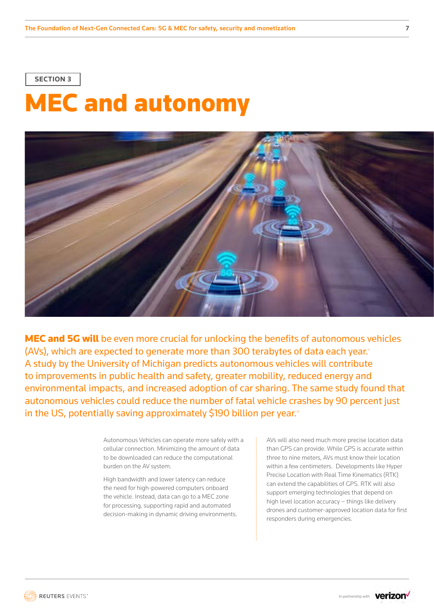# MEC and autonomy



MEC and 5G will be even more crucial for unlocking the benefits of autonomous vehicles (AVs), which are expected to generate more than 300 terabytes of data each year.<sup>®</sup> A study by the University of Michigan predicts autonomous vehicles will contribute to improvements in public health and safety, greater mobility, reduced energy and environmental impacts, and increased adoption of car sharing. The same study found that autonomous vehicles could reduce the number of fatal vehicle crashes by 90 percent just in the US, potentially saving approximately \$190 billion per year.<sup>11</sup>

> Autonomous Vehicles can operate more safely with a cellular connection. Minimizing the amount of data to be downloaded can reduce the computational burden on the AV system.

High bandwidth and lower latency can reduce the need for high-powered computers onboard the vehicle. Instead, data can go to a MEC zone for processing, supporting rapid and automated decision-making in dynamic driving environments. AVs will also need much more precise location data than GPS can provide. While GPS is accurate within three to nine meters, AVs must know their location within a few centimeters. Developments like Hyper Precise Location with Real Time Kinematics (RTK) can extend the capabilities of GPS. RTK will also support emerging technologies that depend on high level location accuracy – things like delivery drones and customer-approved location data for first responders during emergencies.

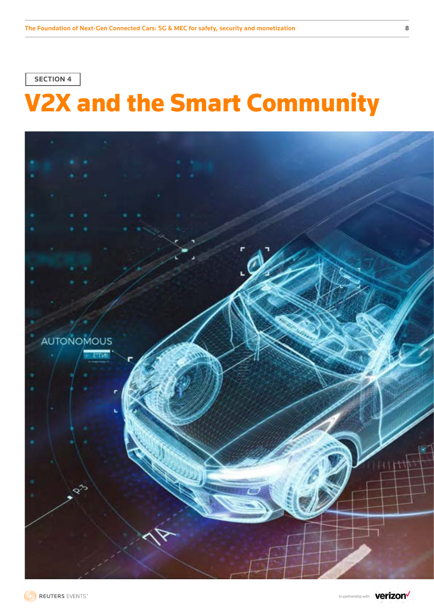# V2X and the Smart Community



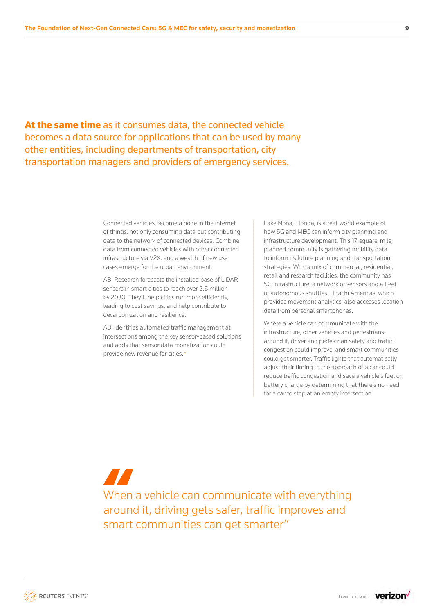At the same time as it consumes data, the connected vehicle becomes a data source for applications that can be used by many other entities, including departments of transportation, city transportation managers and providers of emergency services.

> Connected vehicles become a node in the internet of things, not only consuming data but contributing data to the network of connected devices. Combine data from connected vehicles with other connected infrastructure via V2X, and a wealth of new use cases emerge for the urban environment.

ABI Research forecasts the installed base of LiDAR sensors in smart cities to reach over 2.5 million by 2030. They'll help cities run more efficiently, leading to cost savings, and help contribute to decarbonization and resilience.

ABI identifies automated traffic management at intersections among the key sensor-based solutions and adds that sensor data monetization could provide new revenue for cities.<sup>[iv](#page-19-0)</sup>

Lake Nona, Florida, is a real-world example of how 5G and MEC can inform city planning and infrastructure development. This 17-square-mile, planned community is gathering mobility data to inform its future planning and transportation strategies. With a mix of commercial, residential, retail and research facilities, the community has 5G infrastructure, a network of sensors and a fleet of autonomous shuttles. Hitachi Americas, which provides movement analytics, also accesses location data from personal smartphones.

Where a vehicle can communicate with the infrastructure, other vehicles and pedestrians around it, driver and pedestrian safety and traffic congestion could improve, and smart communities could get smarter. Traffic lights that automatically adjust their timing to the approach of a car could reduce traffic congestion and save a vehicle's fuel or battery charge by determining that there's no need for a car to stop at an empty intersection.

**TI** When a vehicle can communicate with everything around it, driving gets safer, traffic improves and smart communities can get smarter"

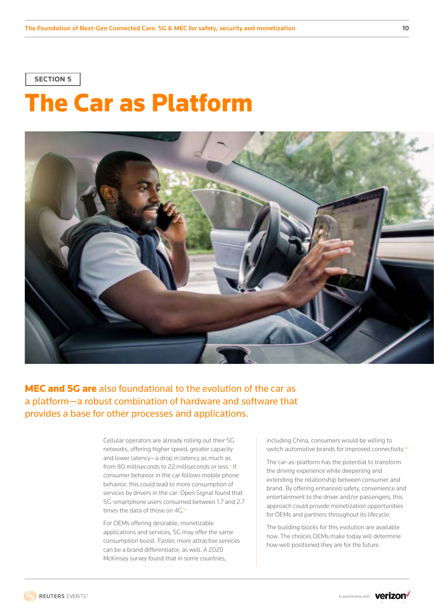# The Car as Platform



MEC and 5G are also foundational to the evolution of the car as a platform—a robust combination of hardware and software that provides a base for other processes and applications.

> Cellular operators are already rolling out their 5G networks, offering higher speed, greater capacity and lower latency—a drop in latency as much as from 80 milliseconds to 22 milliseconds or less.<sup>v</sup> If consumer behavior in the car follows mobile phone behavior, this could lead to more consumption of services by drivers in the car: Open Signal found that 5G-smartphone users consumed between 1.7 and 2.7 times the data of those on 4G.

For OEMs offering desirable, monetizable applications and services, 5G may offer the same consumption boost. Faster, more attractive services can be a brand differentiator, as well. A 2020 McKinsey survey found that in some countries,

including China, consumers would be willing to switch automotive brands for improved connectivity.vii

The car-as-platform has the potential to transform the driving experience while deepening and extending the relationship between consumer and brand. By offering enhanced safety, convenience and entertainment to the driver and/or passengers, this approach could provide monetization opportunities for OEMs and partners throughout its lifecycle.

The building blocks for this evolution are available now. The choices OEMs make today will determine how well positioned they are for the future.

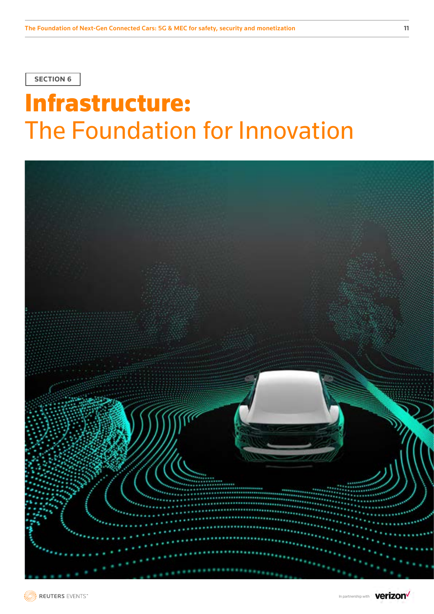# Infrastructure: The Foundation for Innovation

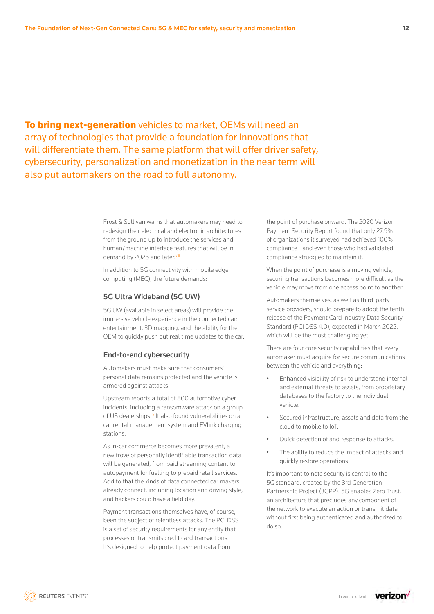**To bring next-generation** vehicles to market, OEMs will need an array of technologies that provide a foundation for innovations that will differentiate them. The same platform that will offer driver safety, cybersecurity, personalization and monetization in the near term will also put automakers on the road to full autonomy.

> Frost & Sullivan warns that automakers may need to redesign their electrical and electronic architectures from the ground up to introduce the services and human/machine interface features that will be in demand by 2025 and later.[viii](#page-19-0)

In addition to 5G connectivity with mobile edge computing (MEC), the future demands:

#### 5G Ultra Wideband (5G UW)

5G UW (available in select areas) will provide the immersive vehicle experience in the connected car: entertainment, 3D mapping, and the ability for the OEM to quickly push out real time updates to the car.

#### End-to-end cybersecurity

Automakers must make sure that consumers' personal data remains protected and the vehicle is armored against attacks.

Upstream reports a total of 800 automotive cyber incidents, including a ransomware attack on a group of US dealerships.<sup>ix</sup> It also found vulnerabilities on a car rental management system and EVlink charging stations.

As in-car commerce becomes more prevalent, a new trove of personally identifiable transaction data will be generated, from paid streaming content to autopayment for fuelling to prepaid retail services. Add to that the kinds of data connected car makers already connect, including location and driving style, and hackers could have a field day.

Payment transactions themselves have, of course, been the subject of relentless attacks. The PCI DSS is a set of security requirements for any entity that processes or transmits credit card transactions. It's designed to help protect payment data from

the point of purchase onward. The 2020 Verizon Payment Security Report found that only 27.9% of organizations it surveyed had achieved 100% compliance—and even those who had validated compliance struggled to maintain it.

When the point of purchase is a moving vehicle, securing transactions becomes more difficult as the vehicle may move from one access point to another.

Automakers themselves, as well as third-party service providers, should prepare to adopt the tenth release of the Payment Card Industry Data Security Standard (PCI DSS 4.0), expected in March 2022, which will be the most challenging yet.

There are four core security capabilities that every automaker must acquire for secure communications between the vehicle and everything:

- Enhanced visibility of risk to understand internal and external threats to assets, from proprietary databases to the factory to the individual vehicle.
- Secured infrastructure, assets and data from the cloud to mobile to IoT.
- Quick detection of and response to attacks.
- The ability to reduce the impact of attacks and quickly restore operations.

It's important to note security is central to the 5G standard, created by the 3rd Generation Partnership Project (3GPP). 5G enables Zero Trust, an architecture that precludes any component of the network to execute an action or transmit data without first being authenticated and authorized to do so.

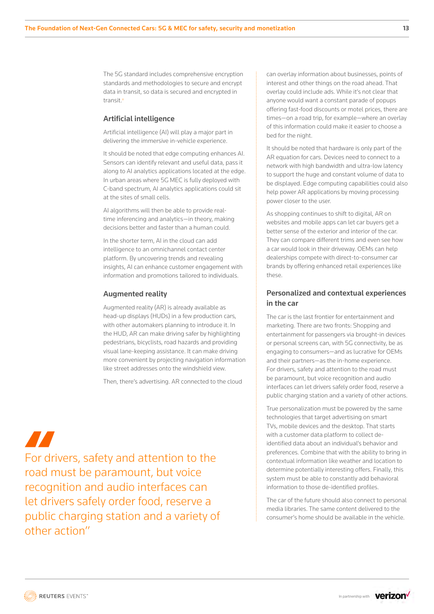The 5G standard includes comprehensive encryption standards and methodologies to secure and encrypt data in transit, so data is secured and encrypted in transit.<sup>[x](#page-19-0)</sup>

#### Artificial intelligence

Artificial intelligence (AI) will play a major part in delivering the immersive in-vehicle experience.

It should be noted that edge computing enhances AI. Sensors can identify relevant and useful data, pass it along to AI analytics applications located at the edge. In urban areas where 5G MEC is fully deployed with C-band spectrum, AI analytics applications could sit at the sites of small cells.

AI algorithms will then be able to provide realtime inferencing and analytics—in theory, making decisions better and faster than a human could.

In the shorter term, AI in the cloud can add intelligence to an omnichannel contact center platform. By uncovering trends and revealing insights, AI can enhance customer engagement with information and promotions tailored to individuals.

#### Augmented reality

Augmented reality (AR) is already available as head-up displays (HUDs) in a few production cars, with other automakers planning to introduce it. In the HUD, AR can make driving safer by highlighting pedestrians, bicyclists, road hazards and providing visual lane-keeping assistance. It can make driving more convenient by projecting navigation information like street addresses onto the windshield view.

Then, there's advertising. AR connected to the cloud

# **Altre**

For drivers, safety and attention to the road must be paramount, but voice recognition and audio interfaces can let drivers safely order food, reserve a public charging station and a variety of other action"

can overlay information about businesses, points of interest and other things on the road ahead. That overlay could include ads. While it's not clear that anyone would want a constant parade of popups offering fast-food discounts or motel prices, there are times—on a road trip, for example—where an overlay of this information could make it easier to choose a bed for the night.

It should be noted that hardware is only part of the AR equation for cars. Devices need to connect to a network with high bandwidth and ultra-low latency to support the huge and constant volume of data to be displayed. Edge computing capabilities could also help power AR applications by moving processing power closer to the user.

As shopping continues to shift to digital, AR on websites and mobile apps can let car buyers get a better sense of the exterior and interior of the car. They can compare different trims and even see how a car would look in their driveway. OEMs can help dealerships compete with direct-to-consumer car brands by offering enhanced retail experiences like these.

### Personalized and contextual experiences in the car

The car is the last frontier for entertainment and marketing. There are two fronts: Shopping and entertainment for passengers via brought-in devices or personal screens can, with 5G connectivity, be as engaging to consumers—and as lucrative for OEMs and their partners—as the in-home experience. For drivers, safety and attention to the road must be paramount, but voice recognition and audio interfaces can let drivers safely order food, reserve a public charging station and a variety of other actions.

True personalization must be powered by the same technologies that target advertising on smart TVs, mobile devices and the desktop. That starts with a customer data platform to collect deidentified data about an individual's behavior and preferences. Combine that with the ability to bring in contextual information like weather and location to determine potentially interesting offers. Finally, this system must be able to constantly add behavioral information to those de-identified profiles.

The car of the future should also connect to personal media libraries. The same content delivered to the consumer's home should be available in the vehicle.

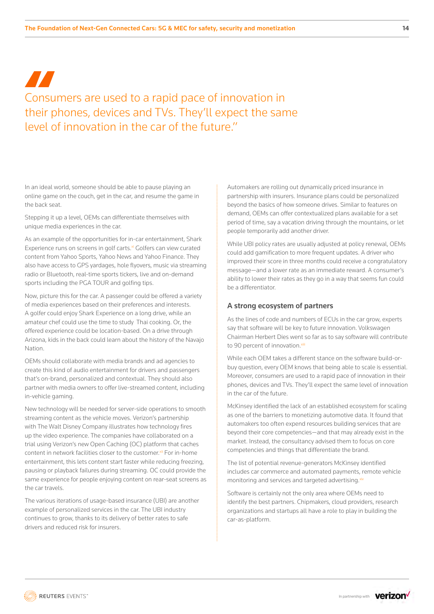# **ATA** Consumers are used to a rapid pace of innovation in their phones, devices and TVs. They'll expect the same level of innovation in the car of the future."

In an ideal world, someone should be able to pause playing an online game on the couch, get in the car, and resume the game in the back seat.

Stepping it up a level, OEMs can differentiate themselves with unique media experiences in the car.

As an example of the opportunities for in-car entertainment, Shark Experience runs on screens in golf carts.<sup>xi</sup> Golfers can view curated content from Yahoo Sports, Yahoo News and Yahoo Finance. They also have access to GPS yardages, hole flyovers, music via streaming radio or Bluetooth, real-time sports tickers, live and on-demand sports including the PGA TOUR and golfing tips.

Now, picture this for the car. A passenger could be offered a variety of media experiences based on their preferences and interests. A golfer could enjoy Shark Experience on a long drive, while an amateur chef could use the time to study Thai cooking. Or, the offered experience could be location-based. On a drive through Arizona, kids in the back could learn about the history of the Navajo Nation.

OEMs should collaborate with media brands and ad agencies to create this kind of audio entertainment for drivers and passengers that's on-brand, personalized and contextual. They should also partner with media owners to offer live-streamed content, including in-vehicle gaming.

New technology will be needed for server-side operations to smooth streaming content as the vehicle moves. Verizon's partnership with The Walt Disney Company illustrates how technology fires up the video experience. The companies have collaborated on a trial using Verizon's new Open Caching (OC) platform that caches content in network facilities closer to the customer.<sup>xii</sup> For in-home entertainment, this lets content start faster while reducing freezing, pausing or playback failures during streaming. OC could provide the same experience for people enjoying content on rear-seat screens as the car travels.

The various iterations of usage-based insurance (UBI) are another example of personalized services in the car. The UBI industry continues to grow, thanks to its delivery of better rates to safe drivers and reduced risk for insurers.

Automakers are rolling out dynamically priced insurance in partnership with insurers. Insurance plans could be personalized beyond the basics of how someone drives. Similar to features on demand, OEMs can offer contextualized plans available for a set period of time, say a vacation driving through the mountains, or let people temporarily add another driver.

While UBI policy rates are usually adjusted at policy renewal, OEMs could add gamification to more frequent updates. A driver who improved their score in three months could receive a congratulatory message—and a lower rate as an immediate reward. A consumer's ability to lower their rates as they go in a way that seems fun could be a differentiator.

#### A strong ecosystem of partners

As the lines of code and numbers of ECUs in the car grow, experts say that software will be key to future innovation. Volkswagen Chairman Herbert Dies went so far as to say software will contribute to 90 percent of innovation.[xiii](#page-19-0)

While each OEM takes a different stance on the software build-orbuy question, every OEM knows that being able to scale is essential. Moreover, consumers are used to a rapid pace of innovation in their phones, devices and TVs. They'll expect the same level of innovation in the car of the future.

McKinsey identified the lack of an established ecosystem for scaling as one of the barriers to monetizing automotive data. It found that automakers too often expend resources building services that are beyond their core competencies—and that may already exist in the market. Instead, the consultancy advised them to focus on core competencies and things that differentiate the brand.

The list of potential revenue-generators McKinsey identified includes car commerce and automated payments, remote vehicle monitoring and services and targeted advertising. xiv

Software is certainly not the only area where OEMs need to identify the best partners. Chipmakers, cloud providers, research organizations and startups all have a role to play in building the car-as-platform.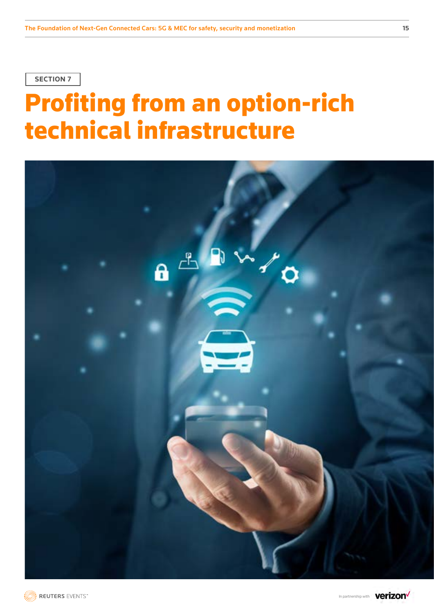# Profiting from an option-rich technical infrastructure





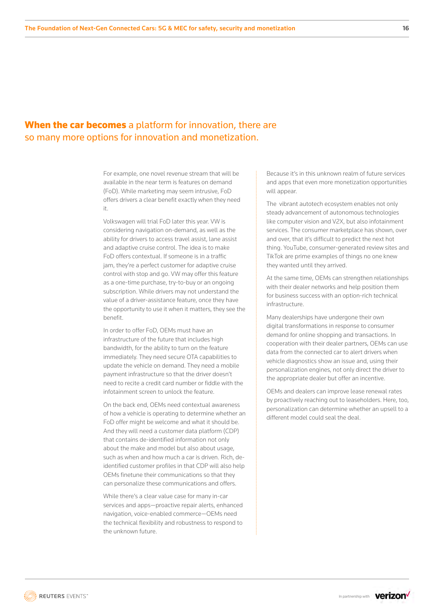### When the car becomes a platform for innovation, there are so many more options for innovation and monetization.

For example, one novel revenue stream that will be available in the near term is features on demand (FoD). While marketing may seem intrusive, FoD offers drivers a clear benefit exactly when they need it.

Volkswagen will trial FoD later this year. VW is considering navigation on-demand, as well as the ability for drivers to access travel assist, lane assist and adaptive cruise control. The idea is to make FoD offers contextual. If someone is in a traffic jam, they're a perfect customer for adaptive cruise control with stop and go. VW may offer this feature as a one-time purchase, try-to-buy or an ongoing subscription. While drivers may not understand the value of a driver-assistance feature, once they have the opportunity to use it when it matters, they see the benefit.

In order to offer FoD, OEMs must have an infrastructure of the future that includes high bandwidth, for the ability to turn on the feature immediately. They need secure OTA capabilities to update the vehicle on demand. They need a mobile payment infrastructure so that the driver doesn't need to recite a credit card number or fiddle with the infotainment screen to unlock the feature.

On the back end, OEMs need contextual awareness of how a vehicle is operating to determine whether an FoD offer might be welcome and what it should be. And they will need a customer data platform (CDP) that contains de-identified information not only about the make and model but also about usage, such as when and how much a car is driven. Rich, deidentified customer profiles in that CDP will also help OEMs finetune their communications so that they can personalize these communications and offers.

While there's a clear value case for many in-car services and apps—proactive repair alerts, enhanced navigation, voice-enabled commerce—OEMs need the technical flexibility and robustness to respond to the unknown future.

Because it's in this unknown realm of future services and apps that even more monetization opportunities will appear.

The vibrant autotech ecosystem enables not only steady advancement of autonomous technologies like computer vision and V2X, but also infotainment services. The consumer marketplace has shown, over and over, that it's difficult to predict the next hot thing. YouTube, consumer-generated review sites and TikTok are prime examples of things no one knew they wanted until they arrived.

At the same time, OEMs can strengthen relationships with their dealer networks and help position them for business success with an option-rich technical infrastructure.

Many dealerships have undergone their own digital transformations in response to consumer demand for online shopping and transactions. In cooperation with their dealer partners, OEMs can use data from the connected car to alert drivers when vehicle diagnostics show an issue and, using their personalization engines, not only direct the driver to the appropriate dealer but offer an incentive.

OEMs and dealers can improve lease renewal rates by proactively reaching out to leaseholders. Here, too, personalization can determine whether an upsell to a different model could seal the deal.

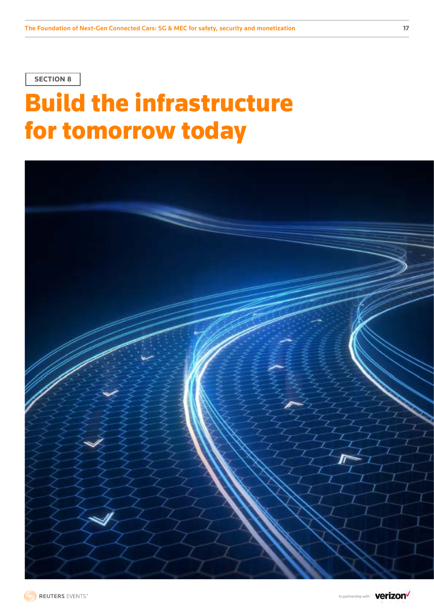# Build the infrastructure for tomorrow today





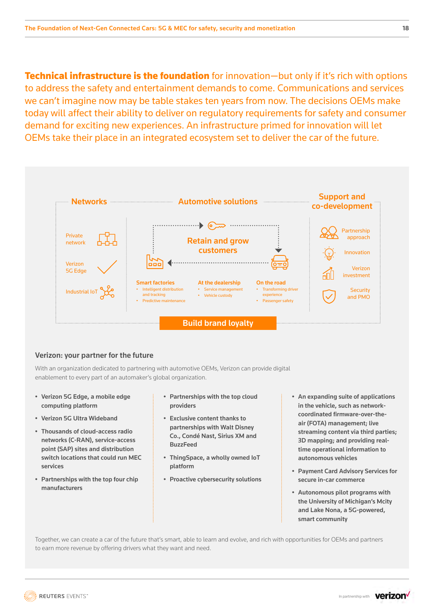**Technical infrastructure is the foundation** for innovation—but only if it's rich with options to address the safety and entertainment demands to come. Communications and services we can't imagine now may be table stakes ten years from now. The decisions OEMs make today will affect their ability to deliver on regulatory requirements for safety and consumer demand for exciting new experiences. An infrastructure primed for innovation will let OEMs take their place in an integrated ecosystem set to deliver the car of the future.



### Verizon: your partner for the future

With an organization dedicated to partnering with automotive OEMs, Verizon can provide digital enablement to every part of an automaker's global organization.

- Verizon 5G Edge, a mobile edge computing platform
- Verizon 5G Ultra Wideband
- Thousands of cloud-access radio networks (C-RAN), service-access point (SAP) sites and distribution switch locations that could run MEC services
- Partnerships with the top four chip manufacturers
- Partnerships with the top cloud providers
- Exclusive content thanks to partnerships with Walt Disney Co., Condé Nast, Sirius XM and BuzzFeed
- ThingSpace, a wholly owned IoT platform
- Proactive cybersecurity solutions
- An expanding suite of applications in the vehicle, such as networkcoordinated firmware-over-theair (FOTA) management; live streaming content via third parties; 3D mapping; and providing realtime operational information to autonomous vehicles
- Payment Card Advisory Services for secure in-car commerce
- Autonomous pilot programs with the University of Michigan's Mcity and Lake Nona, a 5G-powered, smart community

Together, we can create a car of the future that's smart, able to learn and evolve, and rich with opportunities for OEMs and partners to earn more revenue by offering drivers what they want and need.

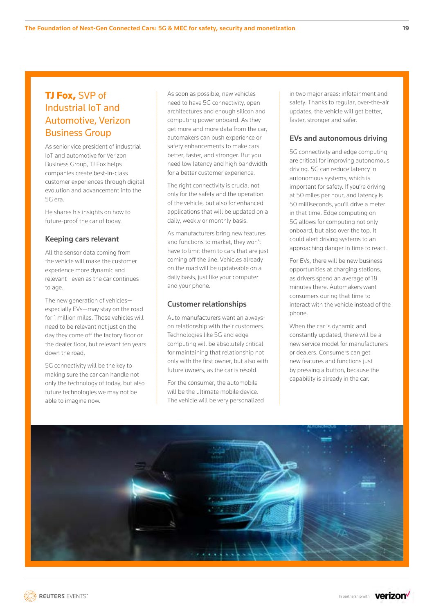# TJ Fox, SVP of Industrial IoT and Automotive, Verizon Business Group

As senior vice president of industrial IoT and automotive for Verizon Business Group, TJ Fox helps companies create best-in-class customer experiences through digital evolution and advancement into the 5G era.

He shares his insights on how to future-proof the car of today.

#### Keeping cars relevant

All the sensor data coming from the vehicle will make the customer experience more dynamic and relevant—even as the car continues to age.

The new generation of vehicles especially EVs—may stay on the road for 1 million miles. Those vehicles will need to be relevant not just on the day they come off the factory floor or the dealer floor, but relevant ten years down the road.

5G connectivity will be the key to making sure the car can handle not only the technology of today, but also future technologies we may not be able to imagine now.

As soon as possible, new vehicles need to have 5G connectivity, open architectures and enough silicon and computing power onboard. As they get more and more data from the car, automakers can push experience or safety enhancements to make cars better, faster, and stronger. But you need low latency and high bandwidth for a better customer experience.

The right connectivity is crucial not only for the safety and the operation of the vehicle, but also for enhanced applications that will be updated on a daily, weekly or monthly basis.

As manufacturers bring new features and functions to market, they won't have to limit them to cars that are just coming off the line. Vehicles already on the road will be updateable on a daily basis, just like your computer and your phone.

#### Customer relationships

Auto manufacturers want an alwayson relationship with their customers. Technologies like 5G and edge computing will be absolutely critical for maintaining that relationship not only with the first owner, but also with future owners, as the car is resold.

For the consumer, the automobile will be the ultimate mobile device. The vehicle will be very personalized in two major areas: infotainment and safety. Thanks to regular, over-the-air updates, the vehicle will get better, faster, stronger and safer.

### EVs and autonomous driving

5G connectivity and edge computing are critical for improving autonomous driving. 5G can reduce latency in autonomous systems, which is important for safety. If you're driving at 50 miles per hour, and latency is 50 milliseconds, you'll drive a meter in that time. Edge computing on 5G allows for computing not only onboard, but also over the top. It could alert driving systems to an approaching danger in time to react.

For EVs, there will be new business opportunities at charging stations, as drivers spend an average of 18 minutes there. Automakers want consumers during that time to interact with the vehicle instead of the phone.

When the car is dynamic and constantly updated, there will be a new service model for manufacturers or dealers. Consumers can get new features and functions just by pressing a button, because the capability is already in the car.